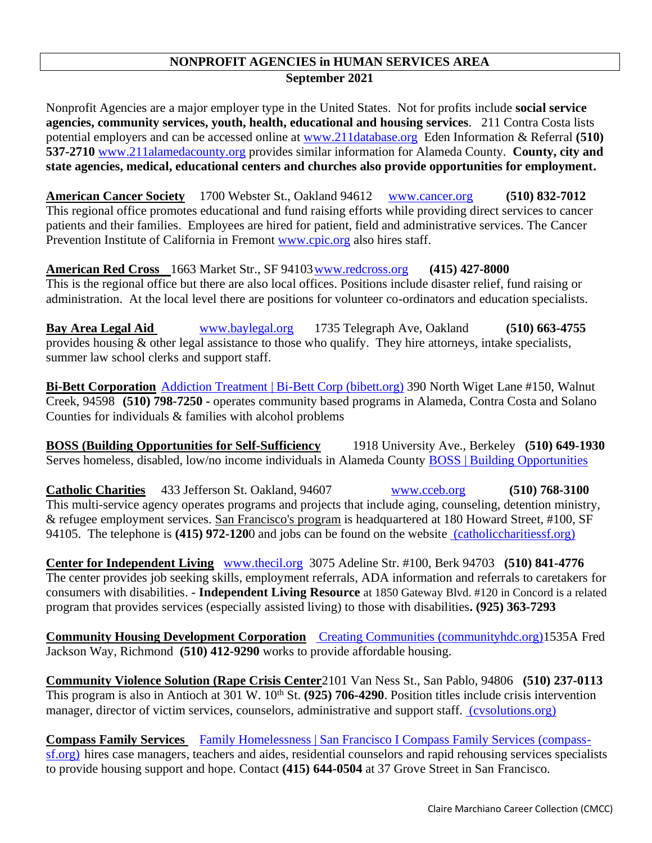## **NONPROFIT AGENCIES in HUMAN SERVICES AREA September 2021**

Nonprofit Agencies are a major employer type in the United States. Not for profits include **social service agencies, community services, youth, health, educational and housing services**. 211 Contra Costa lists potential employers and can be accessed online at [www.211database.org](http://www.211database.org/) Eden Information & Referral **(510) 537-2710** [www.211alamedacounty.org](http://www.alamedaco.info/) provides similar information for Alameda County. **County, city and state agencies, medical, educational centers and churches also provide opportunities for employment.**

**American Cancer Society** 1700 Webster St., Oakland 94612 [www.cancer.org](http://www.cancer.org/) **(510) 832-7012** This regional office promotes educational and fund raising efforts while providing direct services to cancer patients and their families. Employees are hired for patient, field and administrative services. The Cancer Prevention Institute of California in Fremont [www.cpic.org](http://www.cpic.org/) also hires staff.

**American Red Cross** 1663 Market Str., SF 9410[3www.redcross.org](http://www.bayarea-redcross.org/) **(415) 427-8000** This is the regional office but there are also local offices. Positions include disaster relief, fund raising or administration. At the local level there are positions for volunteer co-ordinators and education specialists.

**Bay Area Legal Aid** [www.baylegal.org](http://www.baylegal.org/) 1735 Telegraph Ave, Oakland **(510) 663-4755** provides housing & other legal assistance to those who qualify. They hire attorneys, intake specialists, summer law school clerks and support staff.

**Bi-Bett Corporation** [Addiction Treatment | Bi-Bett Corp \(bibett.org\)](https://bibett.org/) 390 North Wiget Lane #150, Walnut Creek, 94598 **(510) 798-7250 -** operates community based programs in Alameda, Contra Costa and Solano Counties for individuals & families with alcohol problems

**BOSS (Building Opportunities for Self-Sufficiency** 1918 University Ave., Berkeley **(510) 649-1930** Serves homeless, disabled, low/no income individuals in Alameda County BOSS | Building Opportunities

**Catholic Charities** 433 Jefferson St. Oakland, 94607 [www.cceb.org](http://www.cceb.org/) **(510) 768-3100** This multi-service agency operates programs and projects that include aging, counseling, detention ministry, & refugee employment services. San Francisco's program is headquartered at 180 Howard Street, #100, SF 94105. The telephone is **(415) 972-120**0 and jobs can be found on the website [\(catholiccharitiessf.org\)](https://www.catholiccharitiessf.org/)

**Center for Independent Living** [www.thecil.org](http://www.cilberkeley.org/) 3075 Adeline Str. #100, Berk 94703 **(510) 841-4776** The center provides job seeking skills, employment referrals, ADA information and referrals to caretakers for consumers with disabilities. - **Independent Living Resource** at 1850 Gateway Blvd. #120 in Concord is a related program that provides services (especially assisted living) to those with disabilities**. (925) 363-7293**

**Community Housing Development Corporation** [Creating Communities \(communityhdc.org\)1](https://communityhdc.org/)535A Fred Jackson Way, Richmond **(510) 412-9290** works to provide affordable housing.

**Community Violence Solution (Rape Crisis Center**2101 Van Ness St., San Pablo, 94806 **(510) 237-0113** This program is also in Antioch at  $301 \text{ W}$ .  $10^{\text{th}}$  St.  $(925)$  706-4290. Position titles include crisis intervention manager, director of victim services, counselors, administrative and support staff. (cysolutions.org)

**Compass Family Services** [Family Homelessness | San Francisco I Compass Family Services \(compass](https://www.compass-sf.org/)[sf.org\)](https://www.compass-sf.org/) hires case managers, teachers and aides, residential counselors and rapid rehousing services specialists to provide housing support and hope. Contact **(415) 644-0504** at 37 Grove Street in San Francisco.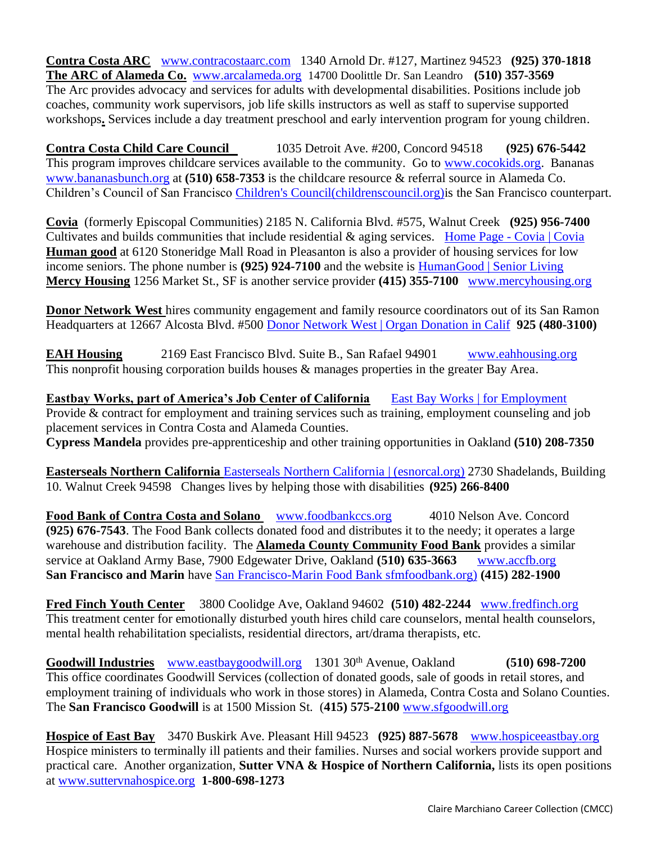**Contra Costa ARC** [www.contracostaarc.com](http://www.contracostaarc.org/) 1340 Arnold Dr. #127, Martinez 94523 **(925) 370-1818 The ARC of Alameda Co.** [www.arcalameda.org](http://www.arcalameda.org/) 14700 Doolittle Dr. San Leandro **(510) 357-3569** The Arc provides advocacy and services for adults with developmental disabilities. Positions include job coaches, community work supervisors, job life skills instructors as well as staff to supervise supported workshops**.** Services include a day treatment preschool and early intervention program for young children.

**Contra Costa Child Care Council** 1035 Detroit Ave. #200, Concord 94518 **(925) 676-5442** This program improves childcare services available to the community. Go to [www.cocokids.org.](http://www.cocokids.org/) Bananas [www.bananasbunch.org](http://www.bananasinc.org/) at **(510) 658-7353** is the childcare resource & referral source in Alameda Co. Children's Council of San Francisco [Children's Council\(childrenscouncil.org\)i](https://www.childrenscouncil.org/)s the San Francisco counterpart.

**Covia** (formerly Episcopal Communities) 2185 N. California Blvd. #575, Walnut Creek **(925) 956-7400** Cultivates and builds communities that include residential & aging services. Home Page - [Covia | Covia](https://covia.org/) **Human good** at 6120 Stoneridge Mall Road in Pleasanton is also a provider of housing services for low income seniors. The phone number is **(925) 924-7100** and the website is [HumanGood | Senior Living](https://www.humangood.org/)  **Mercy Housing** 1256 Market St., SF is another service provider (415) 355-7100 www.mercyhousing.org

**Donor Network West** hires community engagement and family resource coordinators out of its San Ramon Headquarters at 12667 Alcosta Blvd. #500 [Donor Network West | Organ Donation in Calif](https://www.donornetworkwest.org/) **925 (480-3100)**

**EAH Housing** 2169 East Francisco Blvd. Suite B., San Rafael 94901 [www.eahhousing.org](http://www.eahhousing.org/) This nonprofit housing corporation builds houses & manages properties in the greater Bay Area.

**Eastbay Works, part of America's Job Center of California** [East Bay Works | for Employment](https://www.eastbayworks.com/) Provide & contract for employment and training services such as training, employment counseling and job placement services in Contra Costa and Alameda Counties. **Cypress Mandela** provides pre-apprenticeship and other training opportunities in Oakland **(510) 208-7350**

**Easterseals Northern California** [Easterseals Northern California | \(esnorcal.org\)](https://www.esnorcal.org/) 2730 Shadelands, Building 10. Walnut Creek 94598 Changes lives by helping those with disabilities **(925) 266-8400**

Food Bank of Contra Costa and Solano **WWW.foodbankccs.org** 4010 Nelson Ave. Concord **(925) 676-7543**. The Food Bank collects donated food and distributes it to the needy; it operates a large warehouse and distribution facility. The **Alameda County Community Food Bank** provides a similar service at Oakland Army Base, 7900 Edgewater Drive, Oakland **(510) 635-3663** [www.accfb.org](http://www.accfb.org/) **San Francisco and Marin** have [San Francisco-Marin Food Bank sfmfoodbank.org\)](https://www.sfmfoodbank.org/) **(415) 282-1900**

**Fred Finch Youth Center** 3800 Coolidge Ave, Oakland 94602 **(510) 482-2244** [www.fredfinch.org](http://www.fredfinch.org/) This treatment center for emotionally disturbed youth hires child care counselors, mental health counselors, mental health rehabilitation specialists, residential directors, art/drama therapists, etc.

**Goodwill Industries** [www.eastbaygoodwill.org](http://www.eastbaygoodwill.org/) 1301 30th Avenue, Oakland **(510) 698-7200** This office coordinates Goodwill Services (collection of donated goods, sale of goods in retail stores, and employment training of individuals who work in those stores) in Alameda, Contra Costa and Solano Counties. The **San Francisco Goodwill** is at 1500 Mission St. (**415) 575-2100** [www.sfgoodwill.org](http://www.sfgoodwill.org/)

**Hospice of East Bay** 3470 Buskirk Ave. Pleasant Hill 94523 **(925) 887-5678** [www.hospiceeastbay.org](http://www.hospiceeastbay.org/) Hospice ministers to terminally ill patients and their families. Nurses and social workers provide support and practical care. Another organization, **Sutter VNA & Hospice of Northern California,** lists its open positions at [www.suttervnahospice.org](http://www.suttervnahospice.org/) **1-800-698-1273**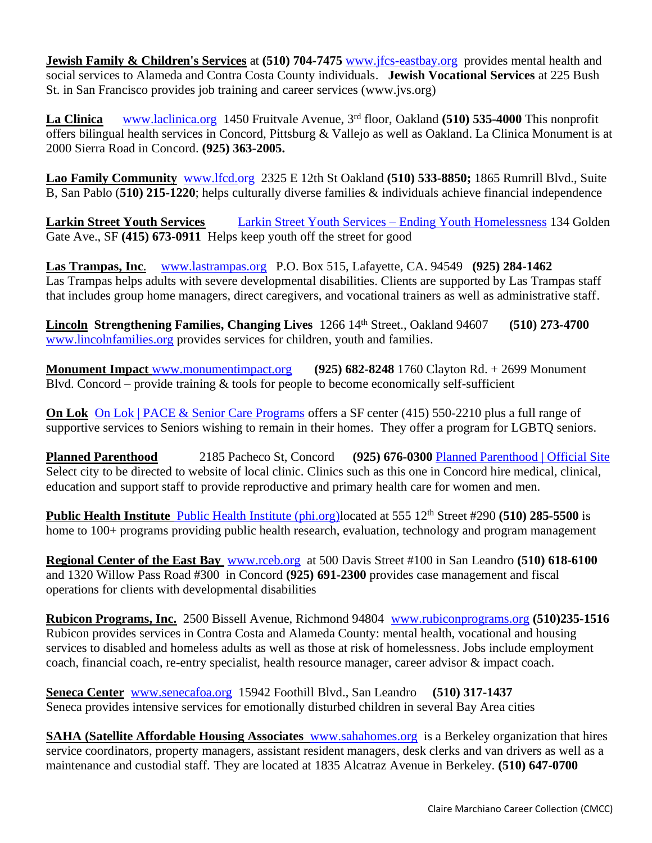**Jewish Family & Children's Services** at **(510) 704-7475** [www.jfcs-eastbay.org](http://www.jfcs-eastbay.org/) provides mental health and social services to Alameda and Contra Costa County individuals. **Jewish Vocational Services** at 225 Bush St. in San Francisco provides job training and career services (www.jvs.org)

La Clinica [www.laclinica.org](http://www.laclinica.org/) 1450 Fruitvale Avenue, 3<sup>rd</sup> floor, Oakland (510) 535-4000 This nonprofit offers bilingual health services in Concord, Pittsburg & Vallejo as well as Oakland. La Clinica Monument is at 2000 Sierra Road in Concord. **(925) 363-2005.**

**Lao Family Community** [www.lfcd.org](http://www.lfcd.org/)2325 E 12th St Oakland **(510) 533-8850;** 1865 Rumrill Blvd., Suite B, San Pablo (**510) 215-1220**; helps culturally diverse families & individuals achieve financial independence

**Larkin Street Youth Services** [Larkin Street Youth Services –](https://larkinstreetyouth.org/) Ending Youth Homelessness 134 Golden Gate Ave., SF **(415) 673-0911** Helps keep youth off the street for good

**Las Trampas, Inc**. [www.lastrampas.org](http://www.lastrampas.org/) P.O. Box 515, Lafayette, CA. 94549 **(925) 284-1462** Las Trampas helps adults with severe developmental disabilities. Clients are supported by Las Trampas staff that includes group home managers, direct caregivers, and vocational trainers as well as administrative staff.

**Lincoln Strengthening Families, Changing Lives** 1266 14th Street., Oakland 94607 **(510) 273-4700** [www.lincolnfamilies.org](http://www.lincolncc.org/) provides services for children, youth and families.

**Monument Impact** [www.monumentimpact.org](http://www.monumentimpact.org/) **(925) 682-8248** 1760 Clayton Rd. + 2699 Monument Blvd. Concord – provide training  $&$  tools for people to become economically self-sufficient

**On Lok** [On Lok | PACE & Senior Care Programs](https://onlok.org/) offers a SF center (415) 550-2210 plus a full range of supportive services to Seniors wishing to remain in their homes. They offer a program for LGBTQ seniors.

**Planned Parenthood** 2185 Pacheco St, Concord **(925) 676-0300** [Planned Parenthood | Official Site](https://www.plannedparenthood.org/) Select city to be directed to website of local clinic. Clinics such as this one in Concord hire medical, clinical, education and support staff to provide reproductive and primary health care for women and men.

**Public Health Institute** [Public Health Institute \(phi.org\)l](https://www.phi.org/)ocated at 555 12<sup>th</sup> Street #290 **(510) 285-5500** is home to 100+ programs providing public health research, evaluation, technology and program management

**Regional Center of the East Bay** [www.rceb.org](http://www.rceb.org/) at 500 Davis Street #100 in San Leandro **(510) 618-6100**  and 1320 Willow Pass Road #300 in Concord **(925) 691-2300** provides case management and fiscal operations for clients with developmental disabilities

**Rubicon Programs, Inc.** 2500 Bissell Avenue, Richmond 94804 [www.rubiconprograms.org](http://www.rubiconprograms.org/) **(510)235-1516** Rubicon provides services in Contra Costa and Alameda County: mental health, vocational and housing services to disabled and homeless adults as well as those at risk of homelessness. Jobs include employment coach, financial coach, re-entry specialist, health resource manager, career advisor & impact coach.

**Seneca Center** [www.senecafoa.org](http://www.senecacenter.org/) 15942 Foothill Blvd., San Leandro **(510) 317-1437** Seneca provides intensive services for emotionally disturbed children in several Bay Area cities

**SAHA (Satellite Affordable Housing Associates** [www.sahahomes.org](http://www.satellitehousing.org/) is a Berkeley organization that hires service coordinators, property managers, assistant resident managers, desk clerks and van drivers as well as a maintenance and custodial staff. They are located at 1835 Alcatraz Avenue in Berkeley. **(510) 647-0700**